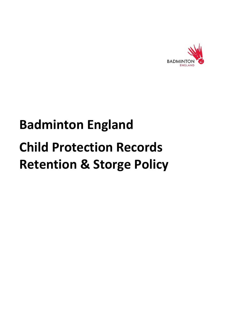

# **Badminton England Child Protection Records Retention & Storge Policy**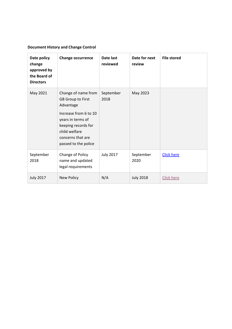# **Document History and Change Control**

| Date policy<br>change<br>approved by<br>the Board of<br><b>Directors</b> | <b>Change occurrence</b>                                                                                                                                                                        | Date last<br>reviewed | Date for next<br>review | <b>File stored</b> |
|--------------------------------------------------------------------------|-------------------------------------------------------------------------------------------------------------------------------------------------------------------------------------------------|-----------------------|-------------------------|--------------------|
| May 2021                                                                 | Change of name from<br><b>GB Group to First</b><br>Advantage<br>Increase from 6 to 10<br>years in terms of<br>keeping records for<br>child welfare<br>concerns that are<br>passed to the police | September<br>2018     | May 2023                |                    |
| September<br>2018                                                        | Change of Policy<br>name and updated<br>legal requirements                                                                                                                                      | <b>July 2017</b>      | September<br>2020       | <b>Click here</b>  |
| <b>July 2017</b>                                                         | <b>New Policy</b>                                                                                                                                                                               | N/A                   | <b>July 2018</b>        | <b>Click here</b>  |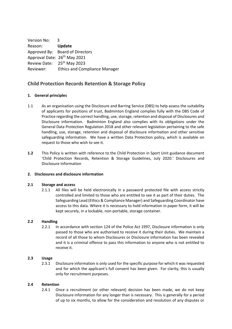Version No: 3 Reason: **Update** Approved By: Board of Directors Approval Date: 26<sup>th</sup> May 2021 Review Date: 25th May 2023 Reviewer: Ethics and Compliance Manager

# **Child Protection Records Retention & Storage Policy**

# **1. General principles**

- 1.1 As an organisation using the Disclosure and Barring Service (DBS) to help assess the suitability of applicants for positions of trust, Badminton England complies fully with the DBS Code of Practice regarding the correct handling, use, storage, retention and disposal of Disclosures and Disclosure information. Badminton England also complies with its obligations under the General Data Protection Regulation 2018 and other relevant legislation pertaining to the safe handling, use, storage, retention and disposal of disclosure information and other sensitive safeguarding information. We have a written Data Protection policy, which is available on request to those who wish to see it.
- **1.2** This Policy is written with reference to the Child Protection in Sport Unit guidance document 'Child Protection Records, Retention & Storage Guidelines, July 2020.' Disclosures and Disclosure Information

# **2. Disclosures and disclosure information**

# **2.1 Storage and access**

2.1.1 All files will be held electronically in a password protected file with access strictly controlled and limited to those who are entitled to see it as part of their duties. The Safeguarding Lead (Ethics & Compliance Manager) and Safeguarding Coordinator have access to this data. Where it is necessary to hold information in paper form, it will be kept securely, in a lockable, non-portable, storage container.

# **2.2 Handling**

2.2.1 In accordance with section 124 of the Police Act 1997, Disclosure information is only passed to those who are authorised to receive it during their duties. We maintain a record of all those to whom Disclosures or Disclosure information has been revealed and it is a criminal offence to pass this information to anyone who is not entitled to receive it.

#### **2.3 Usage**

2.3.1 Disclosure information is only used for the specific purpose for which it was requested and for which the applicant's full consent has been given. For clarity, this is usually only for recruitment purposes.

#### **2.4 Retention**

2.4.1 Once a recruitment (or other relevant) decision has been made, we do not keep Disclosure information for any longer than is necessary. This is generally for a period of up to six months, to allow for the consideration and resolution of any disputes or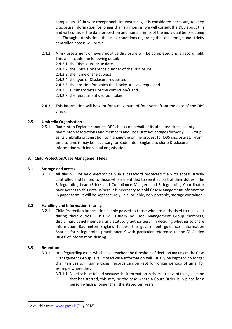complaints. If, in very exceptional circumstances, it is considered necessary to keep Disclosure information for longer than six months, we will consult the DBS about this and will consider the data protection and human rights of the individual before doing so. Throughout this time, the usual conditions regarding the safe storage and strictly controlled access will prevail.

- 2.4.2 A risk assessment on every positive disclosure will be completed and a record held. This will include the following detail:
	- 2.4.2.1 the Disclosure issue date
	- 2.4.2.2 the unique reference number of the Disclosure
	- 2.4.2.3 the name of the subject
	- 2.4.2.4 the type of Disclosure requested
	- 2.4.2.5 the position for which the Disclosure was requested
	- 2.4.2.6 summary detail of the conviction/s and
	- 2.4.2.7 the recruitment decision taken.
- 2.4.3 This information will be kept for a maximum of four years from the date of the DBS check.

# **2.5 Umbrella Organisation**

2.5.1 Badminton England conducts DBS checks on behalf of its affiliated clubs, county badminton associations and members and uses First Advantage (formerly GB Group) as its umbrella organisation to manage the online process for DBS disclosures. From time to time it may be necessary for Badminton England to share Disclosure information with individual organisations.

#### **3. Child Protection/Case Management Files**

#### **3.1 Storage and access**

3.1.1 All files will be held electronically in a password protected file with access strictly controlled and limited to those who are entitled to see it as part of their duties. The Safeguarding Lead (Ethics and Compliance Manger) and Safeguarding Coordinator have access to this data. Where it is necessary to hold Case Management information in paper form, it will be kept securely, in a lockable, non-portable, storage container.

#### **3.2 Handling and Information Sharing**

3.2.1 Child Protection information is only passed to those who are authorised to receive it during their duties. This will usually be Case Management Group members, disciplinary panel members and statutory authorities. In deciding whether to share information Badminton England follows the government guidance 'Information Sharing for safeguarding practitioners<sup>1</sup> with particular reference to the '7 Golden Rules' of information sharing.

#### **3.3 Retention**

- 3.3.1 In safeguarding cases which have reached the threshold of decision making at the Case Management Group level, closed case information will usually be kept for no longer than ten years. In some cases, records can be kept for longer periods of time, for example where they:
	- 3.3.1.1. Need to be retained because the information in them is relevant to legal action that has started, this may be the case where a Court Order is in place for a person which is longer than the stated ten years

<sup>&</sup>lt;sup>1</sup> Available from[: www.gov.uk](http://www.gov.uk/) (July 2018)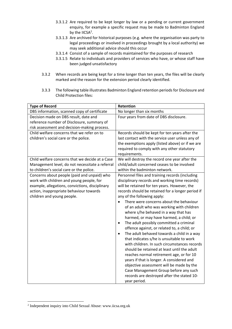- 3.3.1.2 Are required to be kept longer by law or a pending or current government enquiry, for example a specific request may be made to Badminton England by the IICSA<sup>2</sup>.
- 3.3.1.3 Are archived for historical purposes (e.g. where the organisation was party to legal proceedings or involved in proceedings brought by a local authority) we may seek additional advice should this occur
- 3.3.1.4 Consist of a sample of records maintained for the purposes of research
- 3.3.1.5 Relate to individuals and providers of services who have, or whose staff have been judged unsatisfactory
- 3.3.2 When records are being kept for a time longer than ten years, the files will be clearly marked and the reason for the extension period clearly identified.
- 3.3.3 The following table illustrates Badminton England retention periods for Disclosure and Child Protection files:

| <b>Type of Record</b>                           | Retention                                               |  |  |
|-------------------------------------------------|---------------------------------------------------------|--|--|
| DBS information, scanned copy of certificate    | No longer than six months                               |  |  |
| Decision made on DBS result, date and           | Four years from date of DBS disclosure.                 |  |  |
| reference number of Disclosure, summary of      |                                                         |  |  |
| risk assessment and decision-making process.    |                                                         |  |  |
| Child welfare concerns that we refer on to      | Records should be kept for ten years after the          |  |  |
| children's social care or the police.           | last contact with the service user unless any of        |  |  |
|                                                 | the exemptions apply (listed above) or if we are        |  |  |
|                                                 | required to comply with any other statutory             |  |  |
|                                                 | requirements.                                           |  |  |
| Child welfare concerns that we decide at a Case | We will destroy the record one year after the           |  |  |
| Management level, do not necessitate a referral | child/adult concerned ceases to be involved             |  |  |
| to children's social care or the police.        | within the badminton network.                           |  |  |
| Concerns about people (paid and unpaid) who     | Personnel files and training records (including         |  |  |
| work with children and young people, for        | disciplinary records and working time records)          |  |  |
| example, allegations, convictions, disciplinary | will be retained for ten years. However, the            |  |  |
| action, inappropriate behaviour towards         | records should be retained for a longer period if       |  |  |
| children and young people.                      | any of the following apply:                             |  |  |
|                                                 | There were concerns about the behaviour                 |  |  |
|                                                 | of an adult who was working with children               |  |  |
|                                                 | where s/he behaved in a way that has                    |  |  |
|                                                 | harmed, or may have harmed, a child; or                 |  |  |
|                                                 | The adult possibly committed a criminal<br>$\bullet$    |  |  |
|                                                 | offence against, or related to, a child; or             |  |  |
|                                                 | The adult behaved towards a child in a way<br>$\bullet$ |  |  |
|                                                 | that indicates s/he is unsuitable to work               |  |  |
|                                                 | with children. In such circumstances records            |  |  |
|                                                 | should be retained at least until the adult             |  |  |
|                                                 | reaches normal retirement age, or for 10                |  |  |
|                                                 | years if that is longer. A considered and               |  |  |
|                                                 | objective assessment will be made by the                |  |  |
|                                                 | Case Management Group before any such                   |  |  |
|                                                 | records are destroyed after the stated 10-              |  |  |
|                                                 | year period.                                            |  |  |

<sup>2</sup> Independent inquiry into Child Sexual Abuse: www.iicsa.org.uk